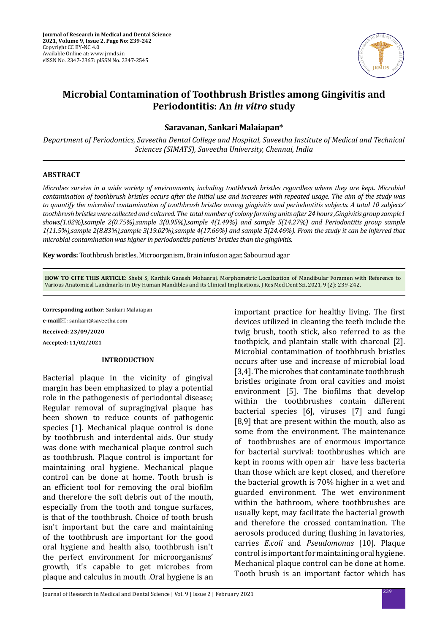

# **Microbial Contamination of Toothbrush Bristles among Gingivitis and Periodontitis: An** *in vitro* **study**

# **Saravanan, Sankari Malaiapan\***

*Department of Periodontics, Saveetha Dental College and Hospital, Saveetha Institute of Medical and Technical Sciences (SIMATS), Saveetha University, Chennai, India*

## **ABSTRACT**

*Microbes survive in a wide variety of environments, including toothbrush bristles regardless where they are kept. Microbial contamination of toothbrush bristles occurs after the initial use and increases with repeated usage. The aim of the study was to quantify the microbial contamination of toothbrush bristles among gingivitis and periodontitis subjects. A total 10 subjects' toothbrush bristles were collected and cultured. The total number of colony forming units after 24 hours ,Gingivitis group sample1 shows(1.02%),sample 2(0.75%),sample 3(0.95%),sample 4(1.49%) and sample 5(14.27%) and Periodontitis group sample 1(11.5%),sample 2(8.83%),sample 3(19.02%),sample 4(17.66%) and sample 5(24.46%). From the study it can be inferred that microbial contamination was higher in periodontitis patients' bristles than the gingivitis.*

**Key words:** Toothbrush bristles, Microorganism, Brain infusion agar, Sabouraud agar

**HOW TO CITE THIS ARTICLE**: Shebi S, Karthik Ganesh Mohanraj, Morphometric Localization of Mandibular Foramen with Reference to Various Anatomical Landmarks in Dry Human Mandibles and its Clinical Implications, J Res Med Dent Sci, 2021, 9 (2): 239-242.

**Corresponding author**: Sankari Malaiapan

**e-mail**: sankari@saveetha.com **Received: 23/09/2020**

**Accepted: 11/02/2021**

# **INTRODUCTION**

Bacterial plaque in the vicinity of gingival margin has been emphasized to play a potential role in the pathogenesis of periodontal disease; Regular removal of supragingival plaque has been shown to reduce counts of pathogenic species [1]. Mechanical plaque control is done by toothbrush and interdental aids. Our study was done with mechanical plaque control such as toothbrush. Plaque control is important for maintaining oral hygiene. Mechanical plaque control can be done at home. Tooth brush is an efficient tool for removing the oral biofilm and therefore the soft debris out of the mouth, especially from the tooth and tongue surfaces, is that of the toothbrush. Choice of tooth brush isn't important but the care and maintaining of the toothbrush are important for the good oral hygiene and health also, toothbrush isn't the perfect environment for microorganisms' growth, it's capable to get microbes from plaque and calculus in mouth .Oral hygiene is an important practice for healthy living. The first devices utilized in cleaning the teeth include the twig brush, tooth stick, also referred to as the toothpick, and plantain stalk with charcoal [2]. Microbial contamination of toothbrush bristles occurs after use and increase of microbial load [3,4]. The microbes that contaminate toothbrush bristles originate from oral cavities and moist environment [5]. The biofilms that develop within the toothbrushes contain different bacterial species [6], viruses [7] and fungi [8,9] that are present within the mouth, also as some from the environment. The maintenance of toothbrushes are of enormous importance for bacterial survival: toothbrushes which are kept in rooms with open air have less bacteria than those which are kept closed, and therefore the bacterial growth is 70% higher in a wet and guarded environment. The wet environment within the bathroom, where toothbrushes are usually kept, may facilitate the bacterial growth and therefore the crossed contamination. The aerosols produced during flushing in lavatories, carries *E.coli* and *Pseudomonas* [10]. Plaque control is important for maintaining oral hygiene. Mechanical plaque control can be done at home. Tooth brush is an important factor which has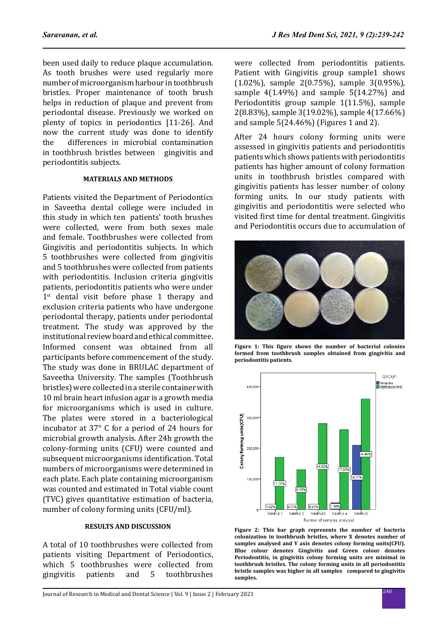been used daily to reduce plaque accumulation. As tooth brushes were used regularly more number of microorganism harbour in toothbrush bristles. Proper maintenance of tooth brush helps in reduction of plaque and prevent from periodontal disease. Previously we worked on plenty of topics in periodontics [11-26]. And now the current study was done to identify<br>the differences in microbial contamination differences in microbial contamination in toothbrush bristles between gingivitis and periodontitis subjects.

#### **MATERIALS AND METHODS**

Patients visited the Department of Periodontics in Saveetha dental college were included in this study in which ten patients' tooth brushes were collected, were from both sexes male and female. Toothbrushes were collected from Gingivitis and periodontitis subjects. In which 5 toothbrushes were collected from gingivitis and 5 toothbrushes were collected from patients with periodontitis. Inclusion criteria gingivitis patients, periodontitis patients who were under 1<sup>st</sup> dental visit before phase 1 therapy and exclusion criteria patients who have undergone periodontal therapy, patients under periodontal treatment. The study was approved by the institutional review board and ethical committee. Informed consent was obtained from all participants before commencement of the study. The study was done in BRULAC department of Saveetha University. The samples (Toothbrush bristles) were collected in a sterile container with 10 ml brain heart infusion agar is a growth media for microorganisms which is used in culture. The plates were stored in a bacteriological incubator at 37° C for a period of 24 hours for microbial growth analysis. After 24h growth the colony-forming units (CFU) were counted and subsequent microorganisms identification. Total numbers of microorganisms were determined in each plate. Each plate containing microorganism was counted and estimated in Total viable count (TVC) gives quantitative estimation of bacteria, number of colony forming units (CFU/ml).

## **RESULTS AND DISCUSSION**

A total of 10 toothbrushes were collected from patients visiting Department of Periodontics, which 5 toothbrushes were collected from<br>gingivitis patients and 5 toothbrushes toothbrushes were collected from periodontitis patients. Patient with Gingivitis group sample1 shows (1.02%), sample 2(0.75%), sample 3(0.95%), sample 4(1.49%) and sample 5(14.27%) and Periodontitis group sample 1(11.5%), sample 2(8.83%), sample 3(19.02%), sample 4(17.66%) and sample 5(24.46%) (Figures 1 and 2).

After 24 hours colony forming units were assessed in gingivitis patients and periodontitis patients which shows patients with periodontitis patients has higher amount of colony formation units in toothbrush bristles compared with gingivitis patients has lesser number of colony forming units. In our study patients with gingivitis and periodontitis were selected who visited first time for dental treatment. Gingivitis and Periodontitis occurs due to accumulation of



**Figure 1: This figure shows the number of bacterial colonies formed from toothbrush samples obtained from gingivitis and periodontitis patients.**



**Figure 2: This bar graph represents the number of bacteria colonization in toothbrush bristles, where X denotes number of samples analysed and Y axis denotes colony forming units(CFU). Blue colour denotes Gingivitis and Green colour denotes Periodontitis, in gingivitis colony forming units are minimal in toothbrush bristles. The colony forming units in all periodontitis bristle samples was higher in all samples compared to gingivitis samples.**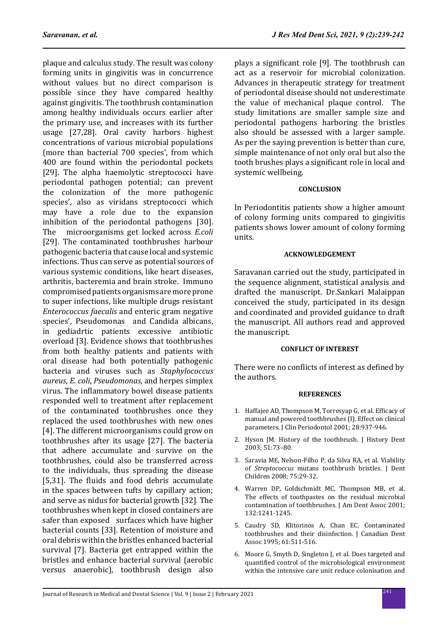plaque and calculus study. The result was colony forming units in gingivitis was in concurrence without values but no direct comparison is possible since they have compared healthy against gingivitis. The toothbrush contamination among healthy individuals occurs earlier after the primary use, and increases with its further usage [27,28]. Oral cavity harbors highest concentrations of various microbial populations (more than bacterial 700 species', from which 400 are found within the periodontal pockets [29]. The alpha haemolytic streptococci have periodontal pathogen potential; can prevent the colonization of the more pathogenic species', also as viridans streptococci which may have a role due to the expansion inhibition of the periodontal pathogens [30]. The microorganisms get locked across *E.coli* [29]. The contaminated toothbrushes harbour pathogenic bacteria that cause local and systemic infections. Thus can serve as potential sources of various systemic conditions, like heart diseases, arthritis, bacteremia and brain stroke. Immuno compromised patients organisms are more prone to super infections, like multiple drugs resistant *Enterococcus faecalis* and enteric gram negative species', Pseudomonas and Candida albicans, in gediadrtic patients excessive antibiotic overload [3]. Evidence shows that toothbrushes from both healthy patients and patients with oral disease had both potentially pathogenic bacteria and viruses such as *Staphylococcus aureus*, *E. coli*, *Pseudomonas*, and herpes simplex virus. The inflammatory bowel disease patients responded well to treatment after replacement of the contaminated toothbrushes once they replaced the used toothbrushes with new ones [4]. The different microorganisms could grow on toothbrushes after its usage [27]. The bacteria that adhere accumulate and survive on the toothbrushes, could also be transferred across to the individuals, thus spreading the disease [5,31]. The fluids and food debris accumulate in the spaces between tufts by capillary action; and serve as nidus for bacterial growth [32]. The toothbrushes when kept in closed containers are safer than exposed surfaces which have higher bacterial counts [33]. Retention of moisture and oral debris within the bristles enhanced bacterial survival [7]. Bacteria get entrapped within the bristles and enhance bacterial survival (aerobic versus anaerobic), toothbrush design also plays a significant role [9]. The toothbrush can act as a reservoir for microbial colonization. Advances in therapeutic strategy for treatment of periodontal disease should not underestimate the value of mechanical plaque control. The study limitations are smaller sample size and periodontal pathogens harboring the bristles also should be assessed with a larger sample. As per the saying prevention is better than cure, simple maintenance of not only oral but also the tooth brushes plays a significant role in local and systemic wellbeing.

## **CONCLUSION**

In Periodontitis patients show a higher amount of colony forming units compared to gingivitis patients shows lower amount of colony forming units.

## **ACKNOWLEDGEMENT**

Saravanan carried out the study, participated in the sequence alignment, statistical analysis and drafted the manuscript. Dr.Sankari Malaippan conceived the study, participated in its design and coordinated and provided guidance to draft the manuscript. All authors read and approved the manuscript.

#### **CONFLICT OF INTEREST**

There were no conflicts of interest as defined by the authors.

#### **REFERENCES**

- 1. Haffajee AD, Thompson M, Torresyap G, et al. Efficacy of manual and powered toothbrushes (I). Effect on clinical parameters. J Clin Periodontol 2001; 28:937-946.
- 2. Hyson JM. History of the toothbrush. J History Dent 2003; 51:73–80.
- 3. Saravia ME, Nelson-Filho P, da Silva RA, et al. Viability of *Streptococcus* mutans toothbrush bristles. J Dent Children 2008; 75:29-32.
- 4. Warren DP, Goldschmidt MC, Thompson MB, et al. The effects of toothpastes on the residual microbial contamination of toothbrushes. J Am Dent Assoc 2001; 132:1241-1245.
- 5. Caudry SD, Klitorinos A, Chan EC. Contaminated toothbrushes and their disinfection. J Canadian Dent Assoc 1995; 61:511-516.
- 6. Moore G, Smyth D, Singleton J, et al. Does targeted and quantified control of the microbiological environment within the intensive care unit reduce colonisation and